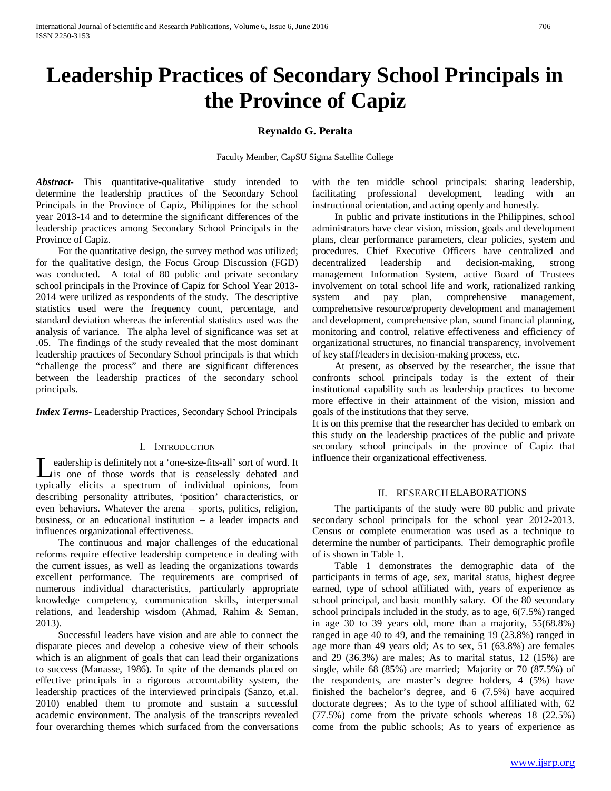# **Leadership Practices of Secondary School Principals in the Province of Capiz**

# **Reynaldo G. Peralta**

Faculty Member, CapSU Sigma Satellite College

*Abstract***-** This quantitative-qualitative study intended to determine the leadership practices of the Secondary School Principals in the Province of Capiz, Philippines for the school year 2013-14 and to determine the significant differences of the leadership practices among Secondary School Principals in the Province of Capiz.

 For the quantitative design, the survey method was utilized; for the qualitative design, the Focus Group Discussion (FGD) was conducted. A total of 80 public and private secondary school principals in the Province of Capiz for School Year 2013- 2014 were utilized as respondents of the study. The descriptive statistics used were the frequency count, percentage, and standard deviation whereas the inferential statistics used was the analysis of variance. The alpha level of significance was set at .05. The findings of the study revealed that the most dominant leadership practices of Secondary School principals is that which "challenge the process" and there are significant differences between the leadership practices of the secondary school principals.

*Index Terms*- Leadership Practices, Secondary School Principals

# I. INTRODUCTION

eadership is definitely not a 'one-size-fits-all' sort of word. It is one of those words that is ceaselessly debated and Let is one of those words that is ceaselessly debated and typically elicits a spectrum of individual opinions, from describing personality attributes, 'position' characteristics, or even behaviors. Whatever the arena – sports, politics, religion, business, or an educational institution – a leader impacts and influences organizational effectiveness.

 The continuous and major challenges of the educational reforms require effective leadership competence in dealing with the current issues, as well as leading the organizations towards excellent performance. The requirements are comprised of numerous individual characteristics, particularly appropriate knowledge competency, communication skills, interpersonal relations, and leadership wisdom (Ahmad, Rahim & Seman, 2013).

 Successful leaders have vision and are able to connect the disparate pieces and develop a cohesive view of their schools which is an alignment of goals that can lead their organizations to success (Manasse, 1986). In spite of the demands placed on effective principals in a rigorous accountability system, the leadership practices of the interviewed principals (Sanzo, et.al. 2010) enabled them to promote and sustain a successful academic environment. The analysis of the transcripts revealed four overarching themes which surfaced from the conversations with the ten middle school principals: sharing leadership, facilitating professional development, leading with an instructional orientation, and acting openly and honestly.

 In public and private institutions in the Philippines, school administrators have clear vision, mission, goals and development plans, clear performance parameters, clear policies, system and procedures. Chief Executive Officers have centralized and decentralized leadership and decision-making, strong management Information System, active Board of Trustees involvement on total school life and work, rationalized ranking system and pay plan, comprehensive management, comprehensive resource/property development and management and development, comprehensive plan, sound financial planning, monitoring and control, relative effectiveness and efficiency of organizational structures, no financial transparency, involvement of key staff/leaders in decision-making process, etc.

 At present, as observed by the researcher, the issue that confronts school principals today is the extent of their institutional capability such as leadership practices to become more effective in their attainment of the vision, mission and goals of the institutions that they serve.

It is on this premise that the researcher has decided to embark on this study on the leadership practices of the public and private secondary school principals in the province of Capiz that influence their organizational effectiveness.

# II. RESEARCH ELABORATIONS

 The participants of the study were 80 public and private secondary school principals for the school year 2012-2013. Census or complete enumeration was used as a technique to determine the number of participants. Their demographic profile of is shown in Table 1.

 Table 1 demonstrates the demographic data of the participants in terms of age, sex, marital status, highest degree earned, type of school affiliated with, years of experience as school principal, and basic monthly salary. Of the 80 secondary school principals included in the study, as to age, 6(7.5%) ranged in age 30 to 39 years old, more than a majority, 55(68.8%) ranged in age 40 to 49, and the remaining 19 (23.8%) ranged in age more than 49 years old; As to sex, 51 (63.8%) are females and 29 (36.3%) are males; As to marital status, 12 (15%) are single, while 68 (85%) are married; Majority or 70 (87.5%) of the respondents, are master's degree holders, 4 (5%) have finished the bachelor's degree, and 6 (7.5%) have acquired doctorate degrees; As to the type of school affiliated with, 62 (77.5%) come from the private schools whereas 18 (22.5%) come from the public schools; As to years of experience as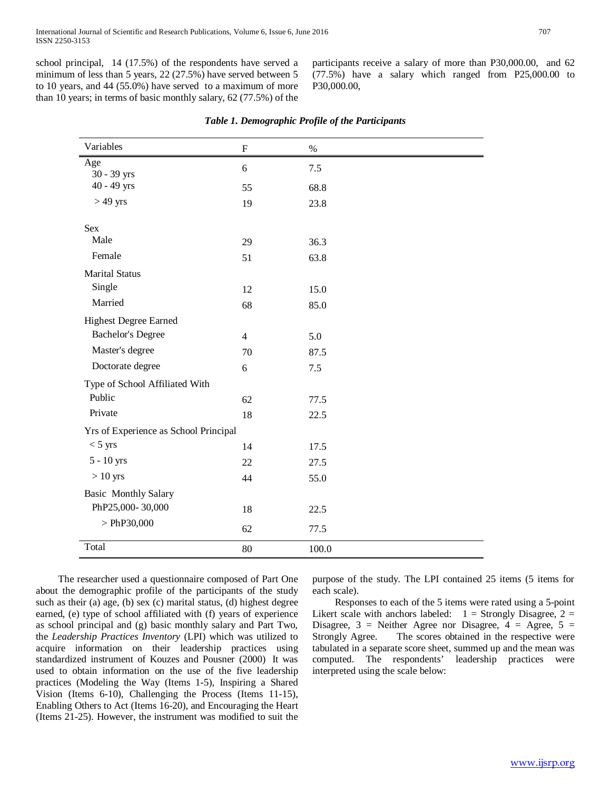school principal, 14 (17.5%) of the respondents have served a minimum of less than 5 years, 22 (27.5%) have served between 5 to 10 years, and 44 (55.0%) have served to a maximum of more than 10 years; in terms of basic monthly salary, 62 (77.5%) of the

participants receive a salary of more than P30,000.00, and 62 (77.5%) have a salary which ranged from P25,000.00 to P30,000.00,

| Variables                             | $\boldsymbol{\mathrm{F}}$ | $\%$  |  |  |  |  |
|---------------------------------------|---------------------------|-------|--|--|--|--|
| Age                                   | 6                         | $7.5$ |  |  |  |  |
| 30 - 39 yrs<br>$40 - 49$ yrs          | 55                        | 68.8  |  |  |  |  |
| $>49$ yrs                             | 19                        | 23.8  |  |  |  |  |
| <b>Sex</b>                            |                           |       |  |  |  |  |
| Male                                  | 29                        | 36.3  |  |  |  |  |
| Female                                | 51                        | 63.8  |  |  |  |  |
| <b>Marital Status</b>                 |                           |       |  |  |  |  |
| Single                                | 12                        | 15.0  |  |  |  |  |
| Married                               | 68                        | 85.0  |  |  |  |  |
| <b>Highest Degree Earned</b>          |                           |       |  |  |  |  |
| <b>Bachelor's Degree</b>              | $\overline{4}$            | 5.0   |  |  |  |  |
| Master's degree                       | 70                        | 87.5  |  |  |  |  |
| Doctorate degree                      | 6                         | 7.5   |  |  |  |  |
| Type of School Affiliated With        |                           |       |  |  |  |  |
| Public                                | 62                        | 77.5  |  |  |  |  |
| Private                               | 18                        | 22.5  |  |  |  |  |
| Yrs of Experience as School Principal |                           |       |  |  |  |  |
| $<$ 5 yrs                             | 14                        | 17.5  |  |  |  |  |
| $5 - 10$ yrs                          | 22                        | 27.5  |  |  |  |  |
| $>10$ yrs                             | 44                        | 55.0  |  |  |  |  |
| <b>Basic Monthly Salary</b>           |                           |       |  |  |  |  |
| PhP25,000-30,000                      | 18                        | 22.5  |  |  |  |  |
| $>$ PhP30,000                         | 62                        | 77.5  |  |  |  |  |
| Total                                 | 80                        | 100.0 |  |  |  |  |

 The researcher used a questionnaire composed of Part One about the demographic profile of the participants of the study such as their (a) age, (b) sex (c) marital status, (d) highest degree earned, (e) type of school affiliated with (f) years of experience as school principal and (g) basic monthly salary and Part Two, the *Leadership Practices Inventory* (LPI) which was utilized to acquire information on their leadership practices using standardized instrument of Kouzes and Pousner (2000) It was used to obtain information on the use of the five leadership practices (Modeling the Way (Items 1-5), Inspiring a Shared Vision (Items 6-10), Challenging the Process (Items 11-15), Enabling Others to Act (Items 16-20), and Encouraging the Heart (Items 21-25). However, the instrument was modified to suit the purpose of the study. The LPI contained 25 items (5 items for each scale).

 Responses to each of the 5 items were rated using a 5-point Likert scale with anchors labeled:  $1 =$  Strongly Disagree,  $2 =$ Disagree,  $3$  = Neither Agree nor Disagree,  $4$  = Agree,  $5$  = Strongly Agree. The scores obtained in the respective were The scores obtained in the respective were tabulated in a separate score sheet, summed up and the mean was computed. The respondents' leadership practices were interpreted using the scale below: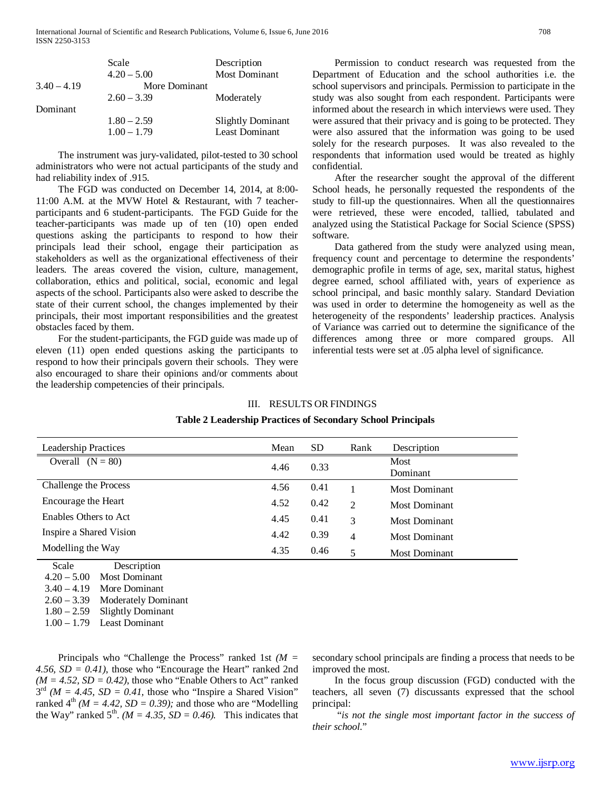|               | Scale         | Description              |
|---------------|---------------|--------------------------|
|               | $4.20 - 5.00$ | <b>Most Dominant</b>     |
| $3.40 - 4.19$ | More Dominant |                          |
|               | $2.60 - 3.39$ | Moderately               |
| Dominant      |               |                          |
|               | $1.80 - 2.59$ | <b>Slightly Dominant</b> |
|               | $1.00 - 1.79$ | <b>Least Dominant</b>    |
|               |               |                          |

 The instrument was jury-validated, pilot-tested to 30 school administrators who were not actual participants of the study and had reliability index of .915.

 The FGD was conducted on December 14, 2014, at 8:00- 11:00 A.M. at the MVW Hotel & Restaurant, with 7 teacherparticipants and 6 student-participants. The FGD Guide for the teacher-participants was made up of ten (10) open ended questions asking the participants to respond to how their principals lead their school, engage their participation as stakeholders as well as the organizational effectiveness of their leaders. The areas covered the vision, culture, management, collaboration, ethics and political, social, economic and legal aspects of the school. Participants also were asked to describe the state of their current school, the changes implemented by their principals, their most important responsibilities and the greatest obstacles faced by them.

 For the student-participants, the FGD guide was made up of eleven (11) open ended questions asking the participants to respond to how their principals govern their schools. They were also encouraged to share their opinions and/or comments about the leadership competencies of their principals.

 Permission to conduct research was requested from the Department of Education and the school authorities i.e. the school supervisors and principals. Permission to participate in the study was also sought from each respondent. Participants were informed about the research in which interviews were used. They were assured that their privacy and is going to be protected. They were also assured that the information was going to be used solely for the research purposes. It was also revealed to the respondents that information used would be treated as highly confidential.

 After the researcher sought the approval of the different School heads, he personally requested the respondents of the study to fill-up the questionnaires. When all the questionnaires were retrieved, these were encoded, tallied, tabulated and analyzed using the Statistical Package for Social Science (SPSS) software.

 Data gathered from the study were analyzed using mean, frequency count and percentage to determine the respondents' demographic profile in terms of age, sex, marital status, highest degree earned, school affiliated with, years of experience as school principal, and basic monthly salary. Standard Deviation was used in order to determine the homogeneity as well as the heterogeneity of the respondents' leadership practices. Analysis of Variance was carried out to determine the significance of the differences among three or more compared groups. All inferential tests were set at .05 alpha level of significance.

# III. RESULTS ORFINDINGS

| <b>Leadership Practices</b>  | Mean | <b>SD</b> | Rank           | Description             |
|------------------------------|------|-----------|----------------|-------------------------|
| Overall $(N = 80)$           | 4.46 | 0.33      |                | <b>Most</b><br>Dominant |
| Challenge the Process        | 4.56 | 0.41      |                | <b>Most Dominant</b>    |
| Encourage the Heart          | 4.52 | 0.42      | $\mathfrak{D}$ | Most Dominant           |
| <b>Enables Others to Act</b> | 4.45 | 0.41      | 3              | Most Dominant           |
| Inspire a Shared Vision      | 4.42 | 0.39      | 4              | <b>Most Dominant</b>    |
| Modelling the Way            | 4.35 | 0.46      | 5              | Most Dominant           |

# **Table 2 Leadership Practices of Secondary School Principals**

 Scale Description 4.20 – 5.00 Most Dominant  $3.40 - 4.19$  More Dominant 2.60 – 3.39 Moderately Dominant 1.80 – 2.59 Slightly Dominant 1.00 – 1.79 Least Dominant

÷

 Principals who "Challenge the Process" ranked 1st *(M = 4.56, SD = 0.41)*, those who "Encourage the Heart" ranked 2nd  $(M = 4.52, SD = 0.42)$ , those who "Enable Others to Act" ranked  $3<sup>rd</sup>$  (*M* = 4.45, *SD* = 0.41, those who "Inspire a Shared Vision" ranked  $4^{th}$  *(M = 4.42, SD = 0.39);* and those who are "Modelling" the Way" ranked  $5<sup>th</sup>$ . *(M = 4.35, SD = 0.46).* This indicates that secondary school principals are finding a process that needs to be improved the most.

 In the focus group discussion (FGD) conducted with the teachers, all seven (7) discussants expressed that the school principal:

 "*is not the single most important factor in the success of their school*."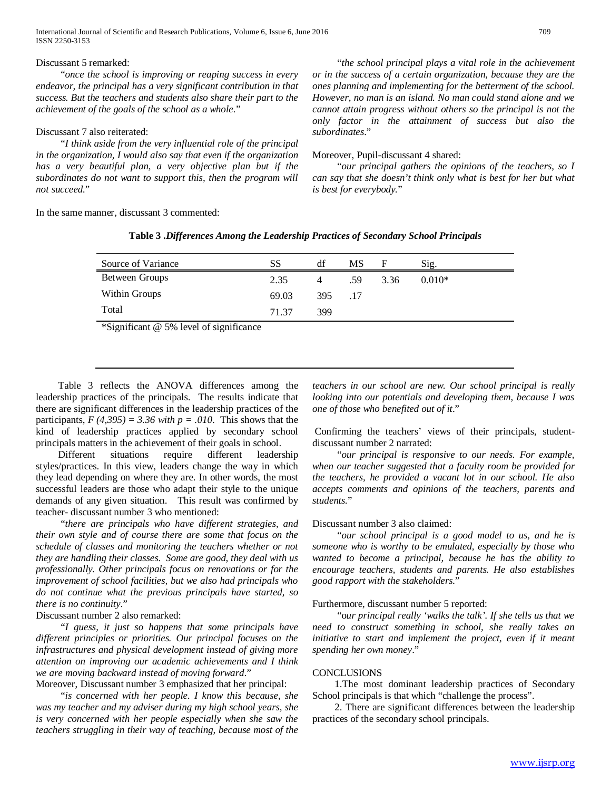International Journal of Scientific and Research Publications, Volume 6, Issue 6, June 2016 709 ISSN 2250-3153

# Discussant 5 remarked:

 "*once the school is improving or reaping success in every endeavor, the principal has a very significant contribution in that success. But the teachers and students also share their part to the achievement of the goals of the school as a whole.*"

## Discussant 7 also reiterated:

 "*I think aside from the very influential role of the principal in the organization, I would also say that even if the organization has a very beautiful plan, a very objective plan but if the subordinates do not want to support this, then the program will not succeed.*"

In the same manner, discussant 3 commented:

 "*the school principal plays a vital role in the achievement or in the success of a certain organization, because they are the ones planning and implementing for the betterment of the school. However, no man is an island. No man could stand alone and we cannot attain progress without others so the principal is not the only factor in the attainment of success but also the subordinates*."

#### Moreover, Pupil-discussant 4 shared:

 "*our principal gathers the opinions of the teachers, so I can say that she doesn't think only what is best for her but what is best for everybody.*"

| Source of Variance | SS    | df             | MS. | F    | Sig.     |
|--------------------|-------|----------------|-----|------|----------|
| Between Groups     | 2.35  | $\overline{4}$ | .59 | 3.36 | $0.010*$ |
| Within Groups      | 69.03 | 395 .17        |     |      |          |
| Total              | 71.37 | 399            |     |      |          |
|                    |       |                |     |      |          |

# **Table 3 .***Differences Among the Leadership Practices of Secondary School Principals*

\*Significant @ 5% level of significance

 Table 3 reflects the ANOVA differences among the leadership practices of the principals. The results indicate that there are significant differences in the leadership practices of the participants,  $F(4,395) = 3.36$  with  $p = .010$ . This shows that the kind of leadership practices applied by secondary school principals matters in the achievement of their goals in school.

 Different situations require different leadership styles/practices. In this view, leaders change the way in which they lead depending on where they are. In other words, the most successful leaders are those who adapt their style to the unique demands of any given situation. This result was confirmed by teacher- discussant number 3 who mentioned:

 "*there are principals who have different strategies, and their own style and of course there are some that focus on the schedule of classes and monitoring the teachers whether or not they are handling their classes. Some are good, they deal with us professionally. Other principals focus on renovations or for the improvement of school facilities, but we also had principals who do not continue what the previous principals have started, so there is no continuity*."

# Discussant number 2 also remarked:

 "*I guess, it just so happens that some principals have different principles or priorities. Our principal focuses on the infrastructures and physical development instead of giving more attention on improving our academic achievements and I think we are moving backward instead of moving forward*."

Moreover, Discussant number 3 emphasized that her principal:

 "*is concerned with her people. I know this because, she was my teacher and my adviser during my high school years, she is very concerned with her people especially when she saw the teachers struggling in their way of teaching, because most of the* 

*teachers in our school are new. Our school principal is really looking into our potentials and developing them, because I was one of those who benefited out of it*."

Confirming the teachers' views of their principals, studentdiscussant number 2 narrated:

 "*our principal is responsive to our needs. For example, when our teacher suggested that a faculty room be provided for the teachers, he provided a vacant lot in our school. He also accepts comments and opinions of the teachers, parents and students.*"

# Discussant number 3 also claimed:

 "*our school principal is a good model to us, and he is someone who is worthy to be emulated, especially by those who wanted to become a principal, because he has the ability to encourage teachers, students and parents. He also establishes good rapport with the stakeholders.*"

# Furthermore, discussant number 5 reported:

 "o*ur principal really 'walks the talk'. If she tells us that we need to construct something in school, she really takes an*  initiative to start and implement the project, even if it meant *spending her own money*."

# **CONCLUSIONS**

 1.The most dominant leadership practices of Secondary School principals is that which "challenge the process".

 2. There are significant differences between the leadership practices of the secondary school principals.